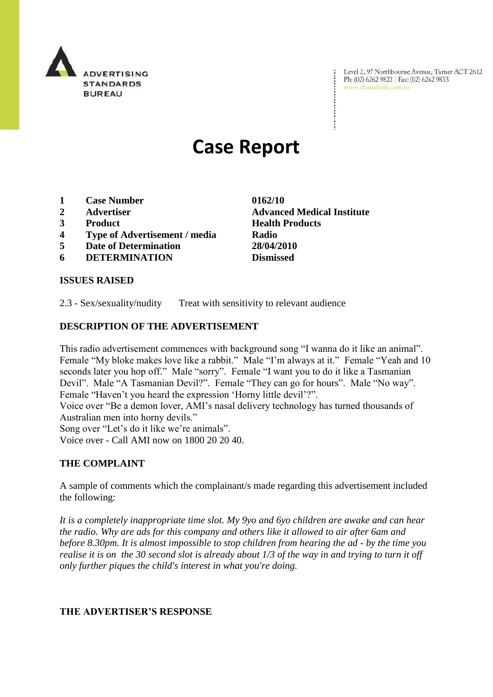

Level 2, 97 Northbourne Avenue, Turner ACT 2612<br>Ph:  $(02)$  6262 9822 | Fax:  $(02)$  6262 9833 Ph: (02) 6262 9822 | Fax: (02) 6262 9833<br>www.adstandards.com.au

# **Case Report**

- **1 Case Number 0162/10**
- **2 Advertiser Advanced Medical Institute**
- **3 Product Health Products**
- **4 Type of Advertisement / media Radio**
- **5 Date of Determination 28/04/2010**
- **6 DETERMINATION Dismissed**

## **ISSUES RAISED**

2.3 - Sex/sexuality/nudity Treat with sensitivity to relevant audience

#### **DESCRIPTION OF THE ADVERTISEMENT**

This radio advertisement commences with background song "I wanna do it like an animal". Female "My bloke makes love like a rabbit." Male "I"m always at it." Female "Yeah and 10 seconds later you hop off." Male "sorry". Female "I want you to do it like a Tasmanian Devil". Male "A Tasmanian Devil?". Female "They can go for hours". Male "No way". Female "Haven't you heard the expression 'Horny little devil'?".

Voice over "Be a demon lover, AMI"s nasal delivery technology has turned thousands of Australian men into horny devils."

Song over "Let's do it like we're animals".

Voice over - Call AMI now on 1800 20 20 40.

#### **THE COMPLAINT**

A sample of comments which the complainant/s made regarding this advertisement included the following:

*It is a completely inappropriate time slot. My 9yo and 6yo children are awake and can hear the radio. Why are ads for this company and others like it allowed to air after 6am and before 8.30pm. It is almost impossible to stop children from hearing the ad - by the time you realise it is on the 30 second slot is already about 1/3 of the way in and trying to turn it off only further piques the child's interest in what you're doing.* 

#### **THE ADVERTISER'S RESPONSE**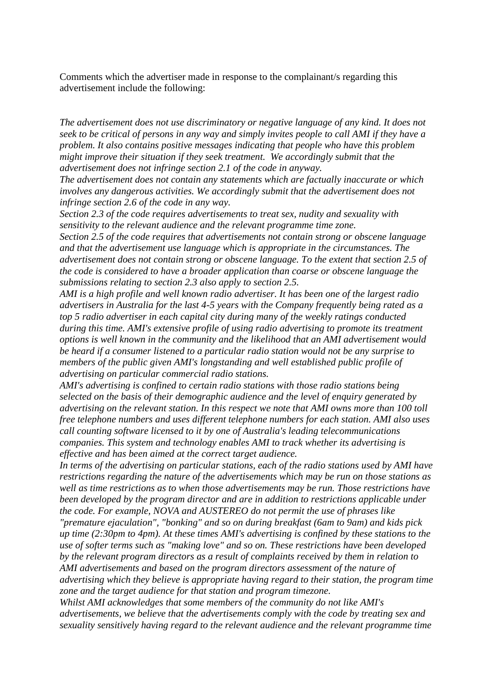Comments which the advertiser made in response to the complainant/s regarding this advertisement include the following:

*The advertisement does not use discriminatory or negative language of any kind. It does not seek to be critical of persons in any way and simply invites people to call AMI if they have a problem. It also contains positive messages indicating that people who have this problem might improve their situation if they seek treatment. We accordingly submit that the advertisement does not infringe section 2.1 of the code in anyway.*

*The advertisement does not contain any statements which are factually inaccurate or which involves any dangerous activities. We accordingly submit that the advertisement does not infringe section 2.6 of the code in any way.*

*Section 2.3 of the code requires advertisements to treat sex, nudity and sexuality with sensitivity to the relevant audience and the relevant programme time zone.* 

*Section 2.5 of the code requires that advertisements not contain strong or obscene language and that the advertisement use language which is appropriate in the circumstances. The advertisement does not contain strong or obscene language. To the extent that section 2.5 of the code is considered to have a broader application than coarse or obscene language the submissions relating to section 2.3 also apply to section 2.5.*

*AMI is a high profile and well known radio advertiser. It has been one of the largest radio advertisers in Australia for the last 4-5 years with the Company frequently being rated as a top 5 radio advertiser in each capital city during many of the weekly ratings conducted during this time. AMI's extensive profile of using radio advertising to promote its treatment options is well known in the community and the likelihood that an AMI advertisement would be heard if a consumer listened to a particular radio station would not be any surprise to members of the public given AMI's longstanding and well established public profile of advertising on particular commercial radio stations.*

*AMI's advertising is confined to certain radio stations with those radio stations being selected on the basis of their demographic audience and the level of enquiry generated by advertising on the relevant station. In this respect we note that AMI owns more than 100 toll free telephone numbers and uses different telephone numbers for each station. AMI also uses call counting software licensed to it by one of Australia's leading telecommunications companies. This system and technology enables AMI to track whether its advertising is effective and has been aimed at the correct target audience.*

*In terms of the advertising on particular stations, each of the radio stations used by AMI have restrictions regarding the nature of the advertisements which may be run on those stations as well as time restrictions as to when those advertisements may be run. Those restrictions have been developed by the program director and are in addition to restrictions applicable under the code. For example, NOVA and AUSTEREO do not permit the use of phrases like "premature ejaculation", "bonking" and so on during breakfast (6am to 9am) and kids pick up time (2:30pm to 4pm). At these times AMI's advertising is confined by these stations to the use of softer terms such as "making love" and so on. These restrictions have been developed by the relevant program directors as a result of complaints received by them in relation to AMI advertisements and based on the program directors assessment of the nature of advertising which they believe is appropriate having regard to their station, the program time zone and the target audience for that station and program timezone.*

*Whilst AMI acknowledges that some members of the community do not like AMI's advertisements, we believe that the advertisements comply with the code by treating sex and sexuality sensitively having regard to the relevant audience and the relevant programme time*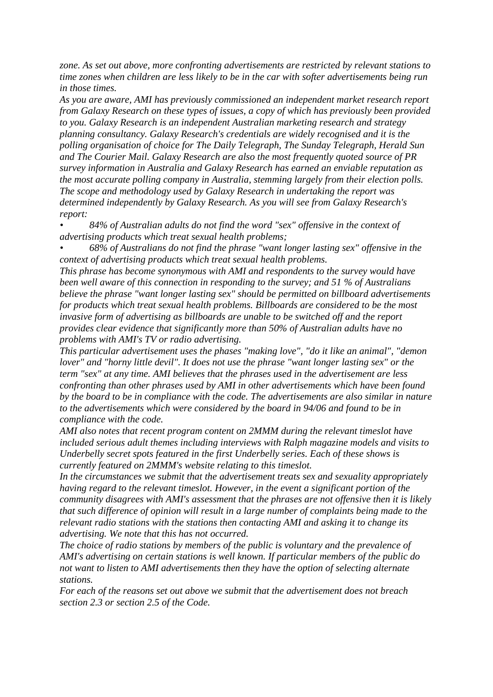*zone. As set out above, more confronting advertisements are restricted by relevant stations to time zones when children are less likely to be in the car with softer advertisements being run in those times.*

*As you are aware, AMI has previously commissioned an independent market research report from Galaxy Research on these types of issues, a copy of which has previously been provided to you. Galaxy Research is an independent Australian marketing research and strategy planning consultancy. Galaxy Research's credentials are widely recognised and it is the polling organisation of choice for The Daily Telegraph, The Sunday Telegraph, Herald Sun and The Courier Mail. Galaxy Research are also the most frequently quoted source of PR survey information in Australia and Galaxy Research has earned an enviable reputation as the most accurate polling company in Australia, stemming largely from their election polls. The scope and methodology used by Galaxy Research in undertaking the report was determined independently by Galaxy Research. As you will see from Galaxy Research's report:*

*• 84% of Australian adults do not find the word "sex" offensive in the context of advertising products which treat sexual health problems;*

*• 68% of Australians do not find the phrase "want longer lasting sex" offensive in the context of advertising products which treat sexual health problems.* 

*This phrase has become synonymous with AMI and respondents to the survey would have been well aware of this connection in responding to the survey; and 51 % of Australians believe the phrase "want longer lasting sex" should be permitted on billboard advertisements for products which treat sexual health problems. Billboards are considered to be the most invasive form of advertising as billboards are unable to be switched off and the report provides clear evidence that significantly more than 50% of Australian adults have no problems with AMI's TV or radio advertising.*

*This particular advertisement uses the phases "making love", "do it like an animal", "demon lover" and "horny little devil". It does not use the phrase "want longer lasting sex" or the term "sex" at any time. AMI believes that the phrases used in the advertisement are less confronting than other phrases used by AMI in other advertisements which have been found by the board to be in compliance with the code. The advertisements are also similar in nature to the advertisements which were considered by the board in 94/06 and found to be in compliance with the code.*

*AMI also notes that recent program content on 2MMM during the relevant timeslot have included serious adult themes including interviews with Ralph magazine models and visits to Underbelly secret spots featured in the first Underbelly series. Each of these shows is currently featured on 2MMM's website relating to this timeslot.*

*In the circumstances we submit that the advertisement treats sex and sexuality appropriately having regard to the relevant timeslot. However, in the event a significant portion of the community disagrees with AMI's assessment that the phrases are not offensive then it is likely that such difference of opinion will result in a large number of complaints being made to the relevant radio stations with the stations then contacting AMI and asking it to change its advertising. We note that this has not occurred.*

*The choice of radio stations by members of the public is voluntary and the prevalence of AMI's advertising on certain stations is well known. If particular members of the public do not want to listen to AMI advertisements then they have the option of selecting alternate stations.*

*For each of the reasons set out above we submit that the advertisement does not breach section 2.3 or section 2.5 of the Code.*